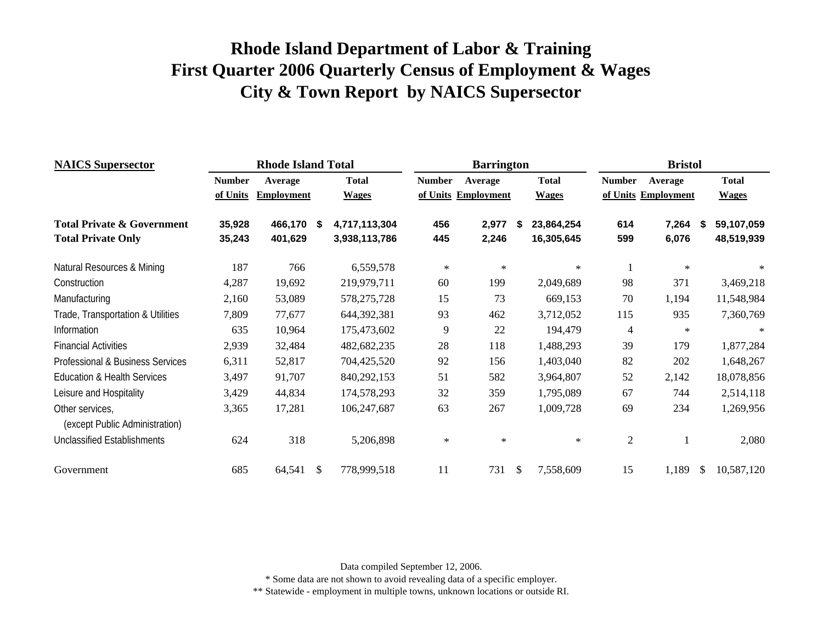| <b>NAICS</b> Supersector                          |               | <b>Rhode Island Total</b> |    |               |               | <b>Barrington</b>   |              |              |                | <b>Bristol</b>      |    |              |
|---------------------------------------------------|---------------|---------------------------|----|---------------|---------------|---------------------|--------------|--------------|----------------|---------------------|----|--------------|
|                                                   | <b>Number</b> | Average                   |    | <b>Total</b>  | <b>Number</b> | Average             |              | <b>Total</b> | <b>Number</b>  | Average             |    | <b>Total</b> |
|                                                   | of Units      | <b>Employment</b>         |    | <b>Wages</b>  |               | of Units Employment |              | <b>Wages</b> |                | of Units Employment |    | <b>Wages</b> |
| <b>Total Private &amp; Government</b>             | 35,928        | 466,170 \$                |    | 4,717,113,304 | 456           | 2,977               | -S           | 23,864,254   | 614            | 7,264               | S  | 59,107,059   |
| <b>Total Private Only</b>                         | 35,243        | 401,629                   |    | 3,938,113,786 | 445           | 2,246               |              | 16,305,645   | 599            | 6,076               |    | 48,519,939   |
| Natural Resources & Mining                        | 187           | 766                       |    | 6,559,578     | $\ast$        | $\ast$              |              | $\ast$       | 1              | $\ast$              |    | $\ast$       |
| Construction                                      | 4,287         | 19,692                    |    | 219,979,711   | 60            | 199                 |              | 2,049,689    | 98             | 371                 |    | 3,469,218    |
| Manufacturing                                     | 2,160         | 53,089                    |    | 578, 275, 728 | 15            | 73                  |              | 669,153      | 70             | 1,194               |    | 11,548,984   |
| Trade, Transportation & Utilities                 | 7,809         | 77,677                    |    | 644,392,381   | 93            | 462                 |              | 3,712,052    | 115            | 935                 |    | 7,360,769    |
| Information                                       | 635           | 10,964                    |    | 175,473,602   | 9             | 22                  |              | 194,479      | 4              | $\ast$              |    | $\ast$       |
| <b>Financial Activities</b>                       | 2,939         | 32,484                    |    | 482,682,235   | 28            | 118                 |              | 1,488,293    | 39             | 179                 |    | 1,877,284    |
| Professional & Business Services                  | 6,311         | 52,817                    |    | 704,425,520   | 92            | 156                 |              | 1,403,040    | 82             | 202                 |    | 1,648,267    |
| <b>Education &amp; Health Services</b>            | 3,497         | 91,707                    |    | 840,292,153   | 51            | 582                 |              | 3,964,807    | 52             | 2,142               |    | 18,078,856   |
| Leisure and Hospitality                           | 3,429         | 44,834                    |    | 174,578,293   | 32            | 359                 |              | 1,795,089    | 67             | 744                 |    | 2,514,118    |
| Other services,<br>(except Public Administration) | 3,365         | 17,281                    |    | 106,247,687   | 63            | 267                 |              | 1,009,728    | 69             | 234                 |    | 1,269,956    |
| <b>Unclassified Establishments</b>                | 624           | 318                       |    | 5,206,898     | $\ast$        | $\star$             |              | $\ast$       | $\overline{c}$ |                     |    | 2,080        |
| Government                                        | 685           | 64,541                    | -S | 778,999,518   | 11            | 731                 | $\mathbb{S}$ | 7,558,609    | 15             | 1,189               | \$ | 10,587,120   |

Data compiled September 12, 2006.

\* Some data are not shown to avoid revealing data of a specific employer.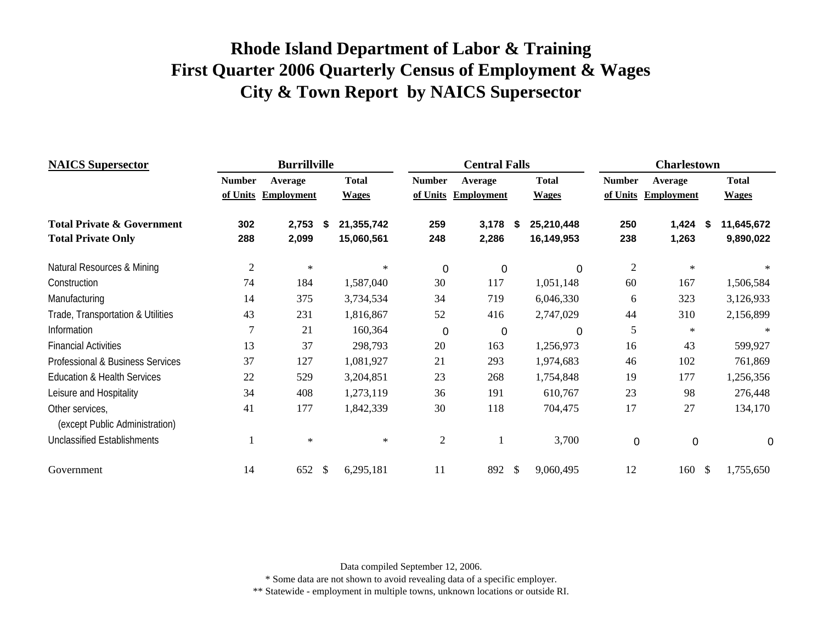| <b>NAICS</b> Supersector               |                | <b>Burrillville</b> |               |              |                | <b>Central Falls</b> |    |              |                | <b>Charlestown</b> |     |              |
|----------------------------------------|----------------|---------------------|---------------|--------------|----------------|----------------------|----|--------------|----------------|--------------------|-----|--------------|
|                                        | <b>Number</b>  | Average             |               | <b>Total</b> | <b>Number</b>  | Average              |    | <b>Total</b> | <b>Number</b>  | Average            |     | <b>Total</b> |
|                                        | of Units       | <b>Employment</b>   |               | <b>Wages</b> | of Units       | <b>Employment</b>    |    | <b>Wages</b> | of Units       | <b>Employment</b>  |     | <b>Wages</b> |
| <b>Total Private &amp; Government</b>  | 302            | 2,753               | \$            | 21,355,742   | 259            | 3,178                | 5  | 25,210,448   | 250            | 1,424              | - 5 | 11,645,672   |
| <b>Total Private Only</b>              | 288            | 2,099               |               | 15,060,561   | 248            | 2,286                |    | 16,149,953   | 238            | 1,263              |     | 9,890,022    |
| Natural Resources & Mining             | $\overline{2}$ | $\ast$              |               | ∗            | 0              | 0                    |    | 0            | $\overline{2}$ | $\ast$             |     | $\ast$       |
| Construction                           | 74             | 184                 |               | 1,587,040    | 30             | 117                  |    | 1,051,148    | 60             | 167                |     | 1,506,584    |
| Manufacturing                          | 14             | 375                 |               | 3,734,534    | 34             | 719                  |    | 6,046,330    | 6              | 323                |     | 3,126,933    |
| Trade, Transportation & Utilities      | 43             | 231                 |               | 1,816,867    | 52             | 416                  |    | 2,747,029    | 44             | 310                |     | 2,156,899    |
| Information                            | 7              | 21                  |               | 160,364      | 0              | 0                    |    | 0            | 5              | $\ast$             |     | $\ast$       |
| <b>Financial Activities</b>            | 13             | 37                  |               | 298,793      | 20             | 163                  |    | 1,256,973    | 16             | 43                 |     | 599,927      |
| Professional & Business Services       | 37             | 127                 |               | 1,081,927    | 21             | 293                  |    | 1,974,683    | 46             | 102                |     | 761,869      |
| <b>Education &amp; Health Services</b> | 22             | 529                 |               | 3,204,851    | 23             | 268                  |    | 1,754,848    | 19             | 177                |     | 1,256,356    |
| Leisure and Hospitality                | 34             | 408                 |               | 1,273,119    | 36             | 191                  |    | 610,767      | 23             | 98                 |     | 276,448      |
| Other services,                        | 41             | 177                 |               | 1,842,339    | 30             | 118                  |    | 704,475      | 17             | 27                 |     | 134,170      |
| (except Public Administration)         |                |                     |               |              |                |                      |    |              |                |                    |     |              |
| <b>Unclassified Establishments</b>     |                | $\ast$              |               | $\ast$       | $\mathfrak{2}$ |                      |    | 3,700        | $\mathbf 0$    | $\mathbf 0$        |     | $\Omega$     |
| Government                             | 14             | 652                 | $\mathcal{S}$ | 6,295,181    | 11             | 892                  | \$ | 9,060,495    | 12             | 160                | -\$ | 1,755,650    |

Data compiled September 12, 2006.

\* Some data are not shown to avoid revealing data of a specific employer.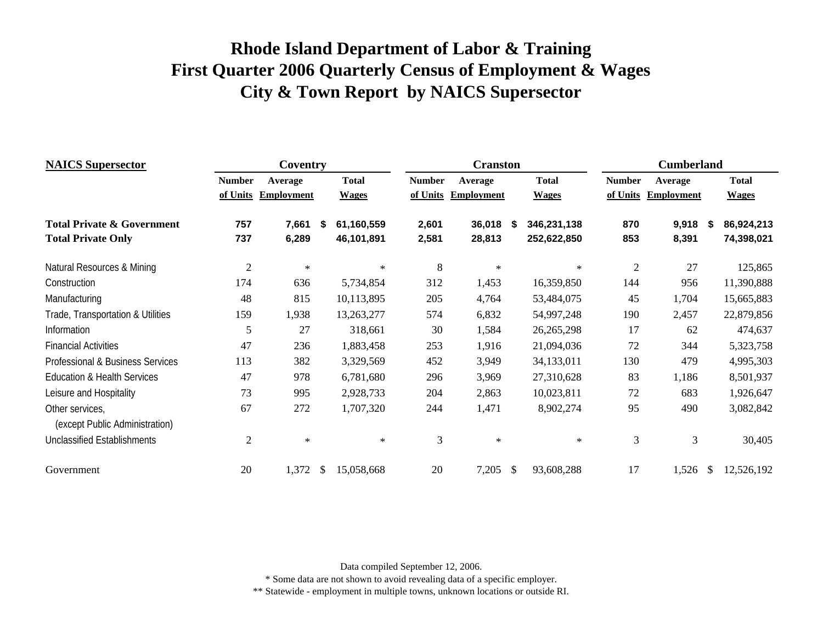| <b>NAICS</b> Supersector               |                | Coventry          |              |              |                | <b>Cranston</b>   |              |              |                | <b>Cumberland</b> |    |              |
|----------------------------------------|----------------|-------------------|--------------|--------------|----------------|-------------------|--------------|--------------|----------------|-------------------|----|--------------|
|                                        | <b>Number</b>  | Average           |              | <b>Total</b> | <b>Number</b>  | Average           |              | <b>Total</b> | <b>Number</b>  | Average           |    | <b>Total</b> |
|                                        | of Units       | <b>Employment</b> |              | <b>Wages</b> | of Units       | <b>Employment</b> |              | <b>Wages</b> | of Units       | <b>Employment</b> |    | <b>Wages</b> |
| <b>Total Private &amp; Government</b>  | 757            | 7,661             | \$           | 61,160,559   | 2,601          | 36,018            | S.           | 346,231,138  | 870            | 9,918             | \$ | 86,924,213   |
| <b>Total Private Only</b>              | 737            | 6,289             |              | 46,101,891   | 2,581          | 28,813            |              | 252,622,850  | 853            | 8,391             |    | 74,398,021   |
| Natural Resources & Mining             | $\sqrt{2}$     | $\ast$            |              | $\ast$       | $\,8\,$        | $\ast$            |              | $\ast$       | $\overline{2}$ | 27                |    | 125,865      |
| Construction                           | 174            | 636               |              | 5,734,854    | 312            | 1,453             |              | 16,359,850   | 144            | 956               |    | 11,390,888   |
| Manufacturing                          | 48             | 815               |              | 10,113,895   | 205            | 4,764             |              | 53,484,075   | 45             | 1,704             |    | 15,665,883   |
| Trade, Transportation & Utilities      | 159            | 1,938             |              | 13,263,277   | 574            | 6,832             |              | 54,997,248   | 190            | 2,457             |    | 22,879,856   |
| Information                            | 5              | 27                |              | 318,661      | 30             | 1,584             |              | 26, 265, 298 | 17             | 62                |    | 474,637      |
| <b>Financial Activities</b>            | 47             | 236               |              | 1,883,458    | 253            | 1,916             |              | 21,094,036   | $72\,$         | 344               |    | 5,323,758    |
| Professional & Business Services       | 113            | 382               |              | 3,329,569    | 452            | 3,949             |              | 34,133,011   | 130            | 479               |    | 4,995,303    |
| <b>Education &amp; Health Services</b> | 47             | 978               |              | 6,781,680    | 296            | 3,969             |              | 27,310,628   | 83             | 1,186             |    | 8,501,937    |
| Leisure and Hospitality                | 73             | 995               |              | 2,928,733    | 204            | 2,863             |              | 10,023,811   | 72             | 683               |    | 1,926,647    |
| Other services,                        | 67             | 272               |              | 1,707,320    | 244            | 1,471             |              | 8,902,274    | 95             | 490               |    | 3,082,842    |
| (except Public Administration)         |                |                   |              |              |                |                   |              |              |                |                   |    |              |
| <b>Unclassified Establishments</b>     | $\mathfrak{2}$ | $\ast$            |              | $\ast$       | $\mathfrak{Z}$ | $\ast$            |              | $\ast$       | $\mathfrak{Z}$ | $\mathfrak{Z}$    |    | 30,405       |
| Government                             | 20             | 1,372             | $\mathbb{S}$ | 15,058,668   | 20             | 7,205             | $\mathbb{S}$ | 93,608,288   | 17             | 1,526             | -S | 12,526,192   |

Data compiled September 12, 2006.

\* Some data are not shown to avoid revealing data of a specific employer.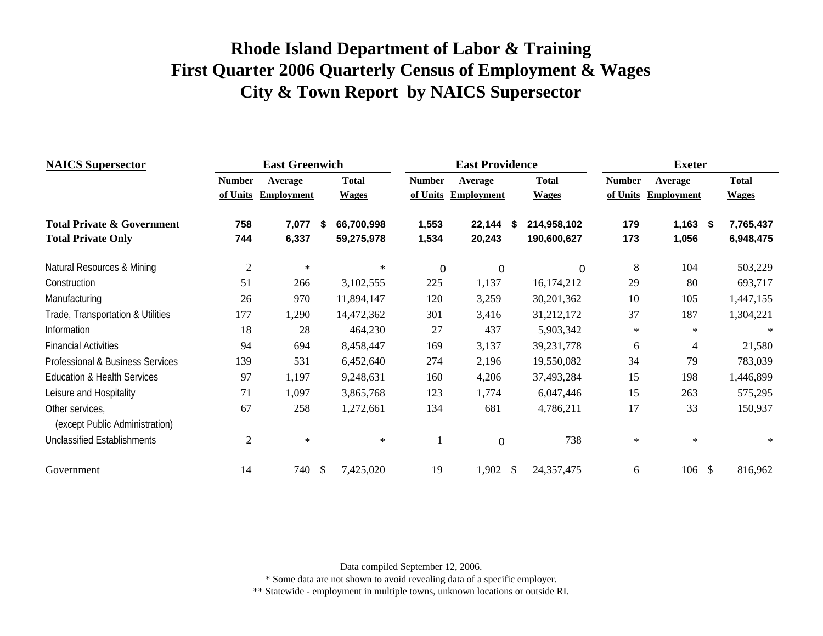| <b>NAICS</b> Supersector               |                | <b>East Greenwich</b> |    |              |               | <b>East Providence</b> |              |                | <b>Exeter</b>     |              |
|----------------------------------------|----------------|-----------------------|----|--------------|---------------|------------------------|--------------|----------------|-------------------|--------------|
|                                        | <b>Number</b>  | Average               |    | <b>Total</b> | <b>Number</b> | Average                | <b>Total</b> | <b>Number</b>  | Average           | <b>Total</b> |
|                                        | of Units       | <b>Employment</b>     |    | <b>Wages</b> | of Units      | <b>Employment</b>      | <b>Wages</b> | of Units       | <b>Employment</b> | <b>Wages</b> |
| <b>Total Private &amp; Government</b>  | 758            | 7,077                 | S  | 66,700,998   | 1,553         | 22,144 \$              | 214,958,102  | 179            | $1,163$ \$        | 7,765,437    |
| <b>Total Private Only</b>              | 744            | 6,337                 |    | 59,275,978   | 1,534         | 20,243                 | 190,600,627  | 173            | 1,056             | 6,948,475    |
| Natural Resources & Mining             | $\mathfrak{2}$ | $\ast$                |    | ∗            | $\mathbf 0$   | $\boldsymbol{0}$       | 0            | $8\phantom{1}$ | 104               | 503,229      |
| Construction                           | 51             | 266                   |    | 3,102,555    | 225           | 1,137                  | 16,174,212   | 29             | 80                | 693,717      |
| Manufacturing                          | 26             | 970                   |    | 11,894,147   | 120           | 3,259                  | 30,201,362   | 10             | 105               | 1,447,155    |
| Trade, Transportation & Utilities      | 177            | 1,290                 |    | 14,472,362   | 301           | 3,416                  | 31,212,172   | 37             | 187               | 1,304,221    |
| Information                            | 18             | 28                    |    | 464,230      | 27            | 437                    | 5,903,342    | $\ast$         | $\ast$            | $\ast$       |
| <b>Financial Activities</b>            | 94             | 694                   |    | 8,458,447    | 169           | 3,137                  | 39,231,778   | 6              | 4                 | 21,580       |
| Professional & Business Services       | 139            | 531                   |    | 6,452,640    | 274           | 2,196                  | 19,550,082   | 34             | 79                | 783,039      |
| <b>Education &amp; Health Services</b> | 97             | 1,197                 |    | 9,248,631    | 160           | 4,206                  | 37,493,284   | 15             | 198               | 1,446,899    |
| Leisure and Hospitality                | 71             | 1,097                 |    | 3,865,768    | 123           | 1,774                  | 6,047,446    | 15             | 263               | 575,295      |
| Other services,                        | 67             | 258                   |    | 1,272,661    | 134           | 681                    | 4,786,211    | 17             | 33                | 150,937      |
| (except Public Administration)         |                |                       |    |              |               |                        |              |                |                   |              |
| <b>Unclassified Establishments</b>     | $\overline{2}$ | $\ast$                |    | $\ast$       | 1             | $\overline{0}$         | 738          | $\ast$         | $\ast$            | $\ast$       |
| Government                             | 14             | 740                   | \$ | 7,425,020    | 19            | $1,902$ \$             | 24, 357, 475 | 6              | 106S              | 816,962      |

Data compiled September 12, 2006.

\* Some data are not shown to avoid revealing data of a specific employer.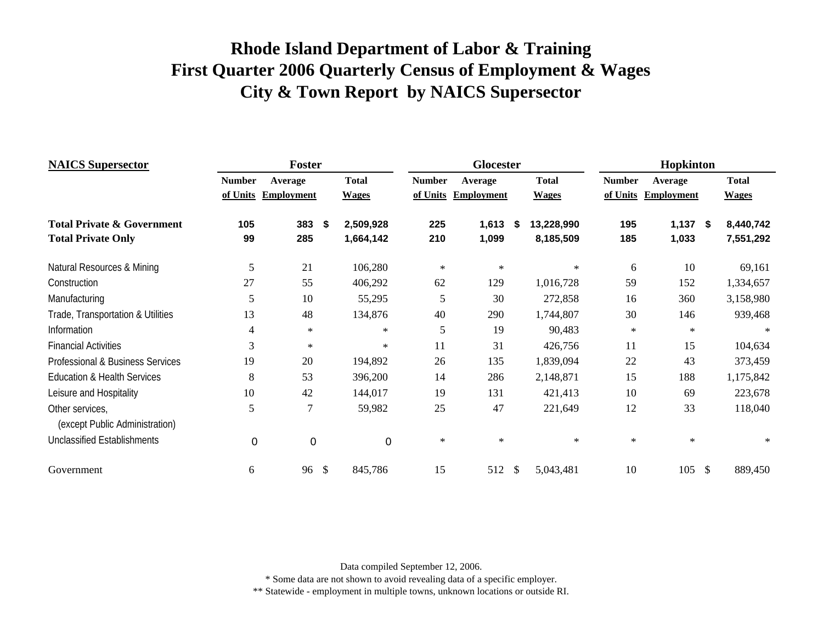| <b>NAICS Supersector</b>               |               | <b>Foster</b>     |               |              |               | <b>Glocester</b>  |              |              |               | Hopkinton         |              |
|----------------------------------------|---------------|-------------------|---------------|--------------|---------------|-------------------|--------------|--------------|---------------|-------------------|--------------|
|                                        | <b>Number</b> | Average           |               | <b>Total</b> | <b>Number</b> | Average           |              | <b>Total</b> | <b>Number</b> | Average           | <b>Total</b> |
|                                        | of Units      | <b>Employment</b> |               | <b>Wages</b> | of Units      | <b>Employment</b> |              | <b>Wages</b> | of Units      | <b>Employment</b> | <b>Wages</b> |
| <b>Total Private &amp; Government</b>  | 105           | 383               | - \$          | 2,509,928    | 225           | 1,613             | -5           | 13,228,990   | 195           | $1,137$ \$        | 8,440,742    |
| <b>Total Private Only</b>              | 99            | 285               |               | 1,664,142    | 210           | 1,099             |              | 8,185,509    | 185           | 1,033             | 7,551,292    |
| Natural Resources & Mining             | 5             | 21                |               | 106,280      | $\ast$        | $\ast$            |              | $\ast$       | 6             | 10                | 69,161       |
| Construction                           | 27            | 55                |               | 406,292      | 62            | 129               |              | 1,016,728    | 59            | 152               | 1,334,657    |
| Manufacturing                          | 5             | 10                |               | 55,295       | 5             | 30                |              | 272,858      | 16            | 360               | 3,158,980    |
| Trade, Transportation & Utilities      | 13            | 48                |               | 134,876      | 40            | 290               |              | 1,744,807    | 30            | 146               | 939,468      |
| Information                            | 4             | $\ast$            |               | $\ast$       | 5             | 19                |              | 90,483       | $\ast$        | ∗                 | ∗            |
| <b>Financial Activities</b>            | 3             | $\ast$            |               | $\ast$       | 11            | 31                |              | 426,756      | 11            | 15                | 104,634      |
| Professional & Business Services       | 19            | 20                |               | 194,892      | 26            | 135               |              | 1,839,094    | 22            | 43                | 373,459      |
| <b>Education &amp; Health Services</b> | 8             | 53                |               | 396,200      | 14            | 286               |              | 2,148,871    | 15            | 188               | 1,175,842    |
| Leisure and Hospitality                | 10            | 42                |               | 144,017      | 19            | 131               |              | 421,413      | 10            | 69                | 223,678      |
| Other services,                        | 5             | $\tau$            |               | 59,982       | 25            | 47                |              | 221,649      | 12            | 33                | 118,040      |
| (except Public Administration)         |               |                   |               |              |               |                   |              |              |               |                   |              |
| <b>Unclassified Establishments</b>     | 0             | $\mathbf 0$       |               | 0            | $\ast$        | $\ast$            |              | $\ast$       | $\ast$        | $\ast$            | $\ast$       |
| Government                             | 6             | 96                | $\mathcal{S}$ | 845,786      | 15            | 512               | $\mathbb{S}$ | 5,043,481    | 10            | $105 \text{ }$ \$ | 889,450      |

Data compiled September 12, 2006.

\* Some data are not shown to avoid revealing data of a specific employer.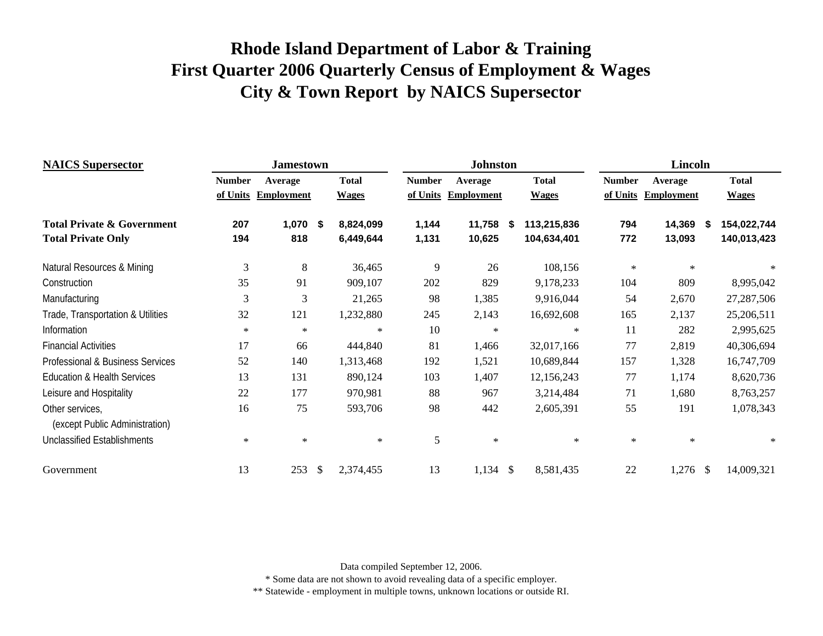| <b>NAICS Supersector</b>                          |               | <b>Jamestown</b>  |      |              |               | <b>Johnston</b>   |      |              |               | Lincoln           |               |              |
|---------------------------------------------------|---------------|-------------------|------|--------------|---------------|-------------------|------|--------------|---------------|-------------------|---------------|--------------|
|                                                   | <b>Number</b> | Average           |      | <b>Total</b> | <b>Number</b> | Average           |      | <b>Total</b> | <b>Number</b> | Average           |               | <b>Total</b> |
|                                                   | of Units      | <b>Employment</b> |      | <b>Wages</b> | of Units      | <b>Employment</b> |      | <b>Wages</b> | of Units      | <b>Employment</b> |               | <b>Wages</b> |
| <b>Total Private &amp; Government</b>             | 207           | 1,070             | - \$ | 8,824,099    | 1,144         | 11,758            | - \$ | 113,215,836  | 794           | 14,369            | S.            | 154,022,744  |
| <b>Total Private Only</b>                         | 194           | 818               |      | 6,449,644    | 1,131         | 10,625            |      | 104,634,401  | 772           | 13,093            |               | 140,013,423  |
| Natural Resources & Mining                        | 3             | 8                 |      | 36,465       | 9             | 26                |      | 108,156      | $\ast$        | $\ast$            |               | $\ast$       |
| Construction                                      | 35            | 91                |      | 909,107      | 202           | 829               |      | 9,178,233    | 104           | 809               |               | 8,995,042    |
| Manufacturing                                     | 3             | 3                 |      | 21,265       | 98            | 1,385             |      | 9,916,044    | 54            | 2,670             |               | 27,287,506   |
| Trade, Transportation & Utilities                 | 32            | 121               |      | 1,232,880    | 245           | 2,143             |      | 16,692,608   | 165           | 2,137             |               | 25,206,511   |
| Information                                       | $\ast$        | $\ast$            |      | $\ast$       | 10            | $\ast$            |      | $\ast$       | 11            | 282               |               | 2,995,625    |
| <b>Financial Activities</b>                       | 17            | 66                |      | 444,840      | 81            | 1,466             |      | 32,017,166   | 77            | 2,819             |               | 40,306,694   |
| Professional & Business Services                  | 52            | 140               |      | 1,313,468    | 192           | 1,521             |      | 10,689,844   | 157           | 1,328             |               | 16,747,709   |
| <b>Education &amp; Health Services</b>            | 13            | 131               |      | 890,124      | 103           | 1,407             |      | 12,156,243   | 77            | 1,174             |               | 8,620,736    |
| Leisure and Hospitality                           | 22            | 177               |      | 970,981      | 88            | 967               |      | 3,214,484    | 71            | 1,680             |               | 8,763,257    |
| Other services,<br>(except Public Administration) | 16            | 75                |      | 593,706      | 98            | 442               |      | 2,605,391    | 55            | 191               |               | 1,078,343    |
| <b>Unclassified Establishments</b>                | $\ast$        | $\ast$            |      | $\ast$       | 5             | $\ast$            |      | $\ast$       | $\ast$        | $\ast$            |               | ∗            |
| Government                                        | 13            | 253               | \$   | 2,374,455    | 13            | 1,134             | -\$  | 8,581,435    | 22            | 1,276             | <sup>\$</sup> | 14,009,321   |

Data compiled September 12, 2006.

\* Some data are not shown to avoid revealing data of a specific employer.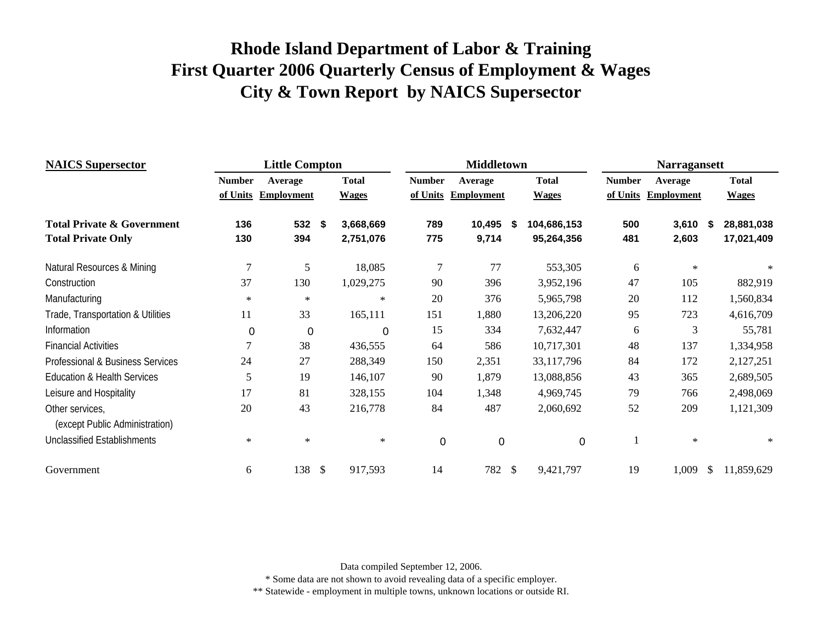| <b>NAICS</b> Supersector              |               | <b>Little Compton</b> |               |              |               | <b>Middletown</b> |   |              |               | <b>Narragansett</b> |    |              |
|---------------------------------------|---------------|-----------------------|---------------|--------------|---------------|-------------------|---|--------------|---------------|---------------------|----|--------------|
|                                       | <b>Number</b> | Average               |               | <b>Total</b> | <b>Number</b> | Average           |   | <b>Total</b> | <b>Number</b> | Average             |    | <b>Total</b> |
|                                       | of Units      | <b>Employment</b>     |               | <b>Wages</b> | of Units      | <b>Employment</b> |   | <b>Wages</b> | of Units      | <b>Employment</b>   |    | <b>Wages</b> |
| <b>Total Private &amp; Government</b> | 136           | 532                   | -\$           | 3,668,669    | 789           | 10,495            | 5 | 104,686,153  | 500           | 3,610               | Ŝ. | 28,881,038   |
| <b>Total Private Only</b>             | 130           | 394                   |               | 2,751,076    | 775           | 9,714             |   | 95,264,356   | 481           | 2,603               |    | 17,021,409   |
| Natural Resources & Mining            | 7             | 5                     |               | 18,085       | 7             | 77                |   | 553,305      | 6             | $\ast$              |    | $\ast$       |
| Construction                          | 37            | 130                   |               | 1,029,275    | 90            | 396               |   | 3,952,196    | 47            | 105                 |    | 882,919      |
| Manufacturing                         | $\ast$        | $\ast$                |               | $\ast$       | 20            | 376               |   | 5,965,798    | 20            | 112                 |    | 1,560,834    |
| Trade, Transportation & Utilities     | 11            | 33                    |               | 165,111      | 151           | 1,880             |   | 13,206,220   | 95            | 723                 |    | 4,616,709    |
| Information                           | 0             | 0                     |               | 0            | 15            | 334               |   | 7,632,447    | 6             | 3                   |    | 55,781       |
| <b>Financial Activities</b>           |               | 38                    |               | 436,555      | 64            | 586               |   | 10,717,301   | 48            | 137                 |    | 1,334,958    |
| Professional & Business Services      | 24            | 27                    |               | 288,349      | 150           | 2,351             |   | 33,117,796   | 84            | 172                 |    | 2,127,251    |
| Education & Health Services           | 5             | 19                    |               | 146,107      | 90            | 1,879             |   | 13,088,856   | 43            | 365                 |    | 2,689,505    |
| Leisure and Hospitality               | 17            | 81                    |               | 328,155      | 104           | 1,348             |   | 4,969,745    | 79            | 766                 |    | 2,498,069    |
| Other services,                       | 20            | 43                    |               | 216,778      | 84            | 487               |   | 2,060,692    | 52            | 209                 |    | 1,121,309    |
| (except Public Administration)        |               |                       |               |              |               |                   |   |              |               |                     |    |              |
| <b>Unclassified Establishments</b>    | $\ast$        | $\ast$                |               | $\ast$       | 0             | 0                 |   | $\Omega$     |               | $\ast$              |    | $\ast$       |
| Government                            | 6             | 138                   | $\mathcal{S}$ | 917,593      | 14            | 782 \$            |   | 9,421,797    | 19            | 1,009               | \$ | 11,859,629   |

Data compiled September 12, 2006.

\* Some data are not shown to avoid revealing data of a specific employer.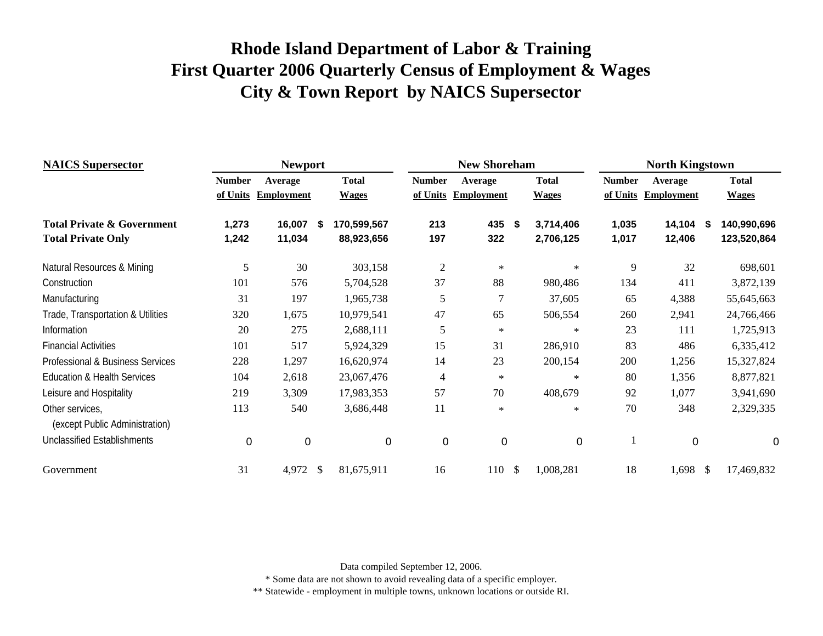| <b>NAICS Supersector</b>                          |               | <b>Newport</b>    |      |              |                | <b>New Shoreham</b> |               |              |               | <b>North Kingstown</b> |    |              |
|---------------------------------------------------|---------------|-------------------|------|--------------|----------------|---------------------|---------------|--------------|---------------|------------------------|----|--------------|
|                                                   | <b>Number</b> | Average           |      | <b>Total</b> | <b>Number</b>  | Average             |               | <b>Total</b> | <b>Number</b> | Average                |    | <b>Total</b> |
|                                                   | of Units      | <b>Employment</b> |      | <b>Wages</b> | of Units       | <b>Employment</b>   |               | <b>Wages</b> | of Units      | <b>Employment</b>      |    | <b>Wages</b> |
| <b>Total Private &amp; Government</b>             | 1,273         | 16,007            | - 55 | 170,599,567  | 213            | 435                 | \$            | 3,714,406    | 1,035         | 14,104                 | S  | 140,990,696  |
| <b>Total Private Only</b>                         | 1,242         | 11,034            |      | 88,923,656   | 197            | 322                 |               | 2,706,125    | 1,017         | 12,406                 |    | 123,520,864  |
| Natural Resources & Mining                        | 5             | 30                |      | 303,158      | $\mathfrak{2}$ | $\ast$              |               | $\ast$       | 9             | 32                     |    | 698,601      |
| Construction                                      | 101           | 576               |      | 5,704,528    | 37             | 88                  |               | 980,486      | 134           | 411                    |    | 3,872,139    |
| Manufacturing                                     | 31            | 197               |      | 1,965,738    | 5              | 7                   |               | 37,605       | 65            | 4,388                  |    | 55,645,663   |
| Trade, Transportation & Utilities                 | 320           | 1,675             |      | 10,979,541   | 47             | 65                  |               | 506,554      | 260           | 2,941                  |    | 24,766,466   |
| Information                                       | 20            | 275               |      | 2,688,111    | 5              | $\ast$              |               | $\ast$       | 23            | 111                    |    | 1,725,913    |
| <b>Financial Activities</b>                       | 101           | 517               |      | 5,924,329    | 15             | 31                  |               | 286,910      | 83            | 486                    |    | 6,335,412    |
| Professional & Business Services                  | 228           | 1,297             |      | 16,620,974   | 14             | 23                  |               | 200,154      | 200           | 1,256                  |    | 15,327,824   |
| <b>Education &amp; Health Services</b>            | 104           | 2,618             |      | 23,067,476   | $\overline{4}$ | $\ast$              |               | $\ast$       | 80            | 1,356                  |    | 8,877,821    |
| Leisure and Hospitality                           | 219           | 3,309             |      | 17,983,353   | 57             | 70                  |               | 408,679      | 92            | 1,077                  |    | 3,941,690    |
| Other services,<br>(except Public Administration) | 113           | 540               |      | 3,686,448    | 11             | $\ast$              |               | $\ast$       | 70            | 348                    |    | 2,329,335    |
| <b>Unclassified Establishments</b>                | 0             | $\overline{0}$    |      | 0            | $\mathbf 0$    | $\mathbf 0$         |               | $\mathbf 0$  |               | 0                      |    | 0            |
| Government                                        | 31            | 4,972             | \$   | 81,675,911   | 16             | 110                 | $\mathcal{S}$ | 1,008,281    | 18            | 1,698                  | \$ | 17,469,832   |

Data compiled September 12, 2006.

\* Some data are not shown to avoid revealing data of a specific employer.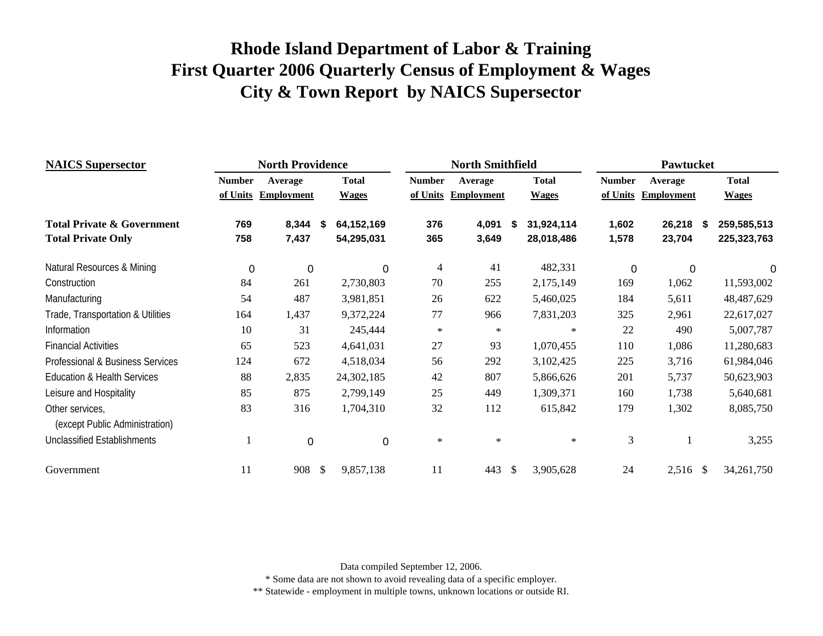| <b>NAICS</b> Supersector               |               | <b>North Providence</b> |              |              |               | <b>North Smithfield</b> |    |              |               | <b>Pawtucket</b>  |    |              |
|----------------------------------------|---------------|-------------------------|--------------|--------------|---------------|-------------------------|----|--------------|---------------|-------------------|----|--------------|
|                                        | <b>Number</b> | Average                 |              | <b>Total</b> | <b>Number</b> | Average                 |    | <b>Total</b> | <b>Number</b> | Average           |    | <b>Total</b> |
|                                        | of Units      | <b>Employment</b>       |              | <b>Wages</b> | of Units      | <b>Employment</b>       |    | <b>Wages</b> | of Units      | <b>Employment</b> |    | <b>Wages</b> |
| <b>Total Private &amp; Government</b>  | 769           | 8,344                   | \$           | 64,152,169   | 376           | 4,091                   | S  | 31,924,114   | 1,602         | 26,218            | -S | 259,585,513  |
| <b>Total Private Only</b>              | 758           | 7,437                   |              | 54,295,031   | 365           | 3,649                   |    | 28,018,486   | 1,578         | 23,704            |    | 225,323,763  |
| Natural Resources & Mining             | $\mathbf 0$   | $\mathbf 0$             |              | 0            | 4             | 41                      |    | 482,331      | 0             | 0                 |    |              |
| Construction                           | 84            | 261                     |              | 2,730,803    | 70            | 255                     |    | 2,175,149    | 169           | 1,062             |    | 11,593,002   |
| Manufacturing                          | 54            | 487                     |              | 3,981,851    | 26            | 622                     |    | 5,460,025    | 184           | 5,611             |    | 48,487,629   |
| Trade, Transportation & Utilities      | 164           | 1,437                   |              | 9,372,224    | 77            | 966                     |    | 7,831,203    | 325           | 2,961             |    | 22,617,027   |
| Information                            | 10            | 31                      |              | 245,444      | $\ast$        | $\ast$                  |    | $\ast$       | 22            | 490               |    | 5,007,787    |
| <b>Financial Activities</b>            | 65            | 523                     |              | 4,641,031    | 27            | 93                      |    | 1,070,455    | 110           | 1,086             |    | 11,280,683   |
| Professional & Business Services       | 124           | 672                     |              | 4,518,034    | 56            | 292                     |    | 3,102,425    | 225           | 3,716             |    | 61,984,046   |
| <b>Education &amp; Health Services</b> | 88            | 2,835                   |              | 24,302,185   | 42            | 807                     |    | 5,866,626    | 201           | 5,737             |    | 50,623,903   |
| Leisure and Hospitality                | 85            | 875                     |              | 2,799,149    | 25            | 449                     |    | 1,309,371    | 160           | 1,738             |    | 5,640,681    |
| Other services,                        | 83            | 316                     |              | 1,704,310    | 32            | 112                     |    | 615,842      | 179           | 1,302             |    | 8,085,750    |
| (except Public Administration)         |               |                         |              |              |               |                         |    |              |               |                   |    |              |
| <b>Unclassified Establishments</b>     |               | $\mathbf 0$             |              | 0            | $\ast$        | $\ast$                  |    | $\ast$       | 3             |                   |    | 3,255        |
| Government                             | 11            | 908                     | $\mathbb{S}$ | 9,857,138    | 11            | 443                     | -S | 3,905,628    | 24            | 2,516 \$          |    | 34,261,750   |

Data compiled September 12, 2006.

\* Some data are not shown to avoid revealing data of a specific employer.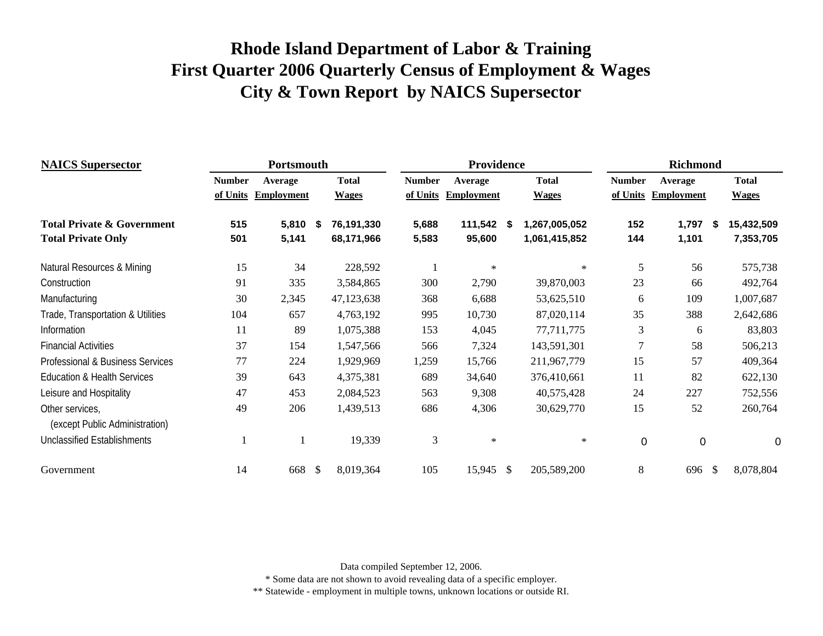| <b>NAICS</b> Supersector                    |               | Portsmouth        |    |              |               | Providence        |              |               |               | <b>Richmond</b>   |               |              |
|---------------------------------------------|---------------|-------------------|----|--------------|---------------|-------------------|--------------|---------------|---------------|-------------------|---------------|--------------|
|                                             | <b>Number</b> | Average           |    | <b>Total</b> | <b>Number</b> | Average           |              | <b>Total</b>  | <b>Number</b> | Average           |               | <b>Total</b> |
|                                             | of Units      | <b>Employment</b> |    | <b>Wages</b> | of Units      | <b>Employment</b> |              | <b>Wages</b>  | of Units      | <b>Employment</b> |               | <b>Wages</b> |
| <b>Total Private &amp; Government</b>       | 515           | 5,810             | \$ | 76,191,330   | 5,688         | 111,542           | - \$         | 1,267,005,052 | 152           | 1,797             | Ŝ.            | 15,432,509   |
| <b>Total Private Only</b>                   | 501           | 5,141             |    | 68,171,966   | 5,583         | 95,600            |              | 1,061,415,852 | 144           | 1,101             |               | 7,353,705    |
| Natural Resources & Mining                  | 15            | 34                |    | 228,592      |               | ∗                 |              | $\ast$        | 5             | 56                |               | 575,738      |
| Construction                                | 91            | 335               |    | 3,584,865    | 300           | 2,790             |              | 39,870,003    | 23            | 66                |               | 492,764      |
| Manufacturing                               | 30            | 2,345             |    | 47,123,638   | 368           | 6,688             |              | 53,625,510    | 6             | 109               |               | 1,007,687    |
| Trade, Transportation & Utilities           | 104           | 657               |    | 4,763,192    | 995           | 10,730            |              | 87,020,114    | 35            | 388               |               | 2,642,686    |
| Information                                 | 11            | 89                |    | 1,075,388    | 153           | 4,045             |              | 77,711,775    | 3             | 6                 |               | 83,803       |
| <b>Financial Activities</b>                 | 37            | 154               |    | 1,547,566    | 566           | 7,324             |              | 143,591,301   | 7             | 58                |               | 506,213      |
| <b>Professional &amp; Business Services</b> | 77            | 224               |    | 1,929,969    | 1,259         | 15,766            |              | 211,967,779   | 15            | 57                |               | 409,364      |
| <b>Education &amp; Health Services</b>      | 39            | 643               |    | 4,375,381    | 689           | 34,640            |              | 376,410,661   | 11            | 82                |               | 622,130      |
| Leisure and Hospitality                     | 47            | 453               |    | 2,084,523    | 563           | 9,308             |              | 40,575,428    | 24            | 227               |               | 752,556      |
| Other services,                             | 49            | 206               |    | 1,439,513    | 686           | 4,306             |              | 30,629,770    | 15            | 52                |               | 260,764      |
| (except Public Administration)              |               |                   |    |              |               |                   |              |               |               |                   |               |              |
| Unclassified Establishments                 |               |                   |    | 19,339       | 3             | $\ast$            |              | $\ast$        | $\Omega$      | $\mathbf 0$       |               | 0            |
| Government                                  | 14            | 668               | -S | 8,019,364    | 105           | 15,945            | $\mathbb{S}$ | 205,589,200   | 8             | 696               | <sup>\$</sup> | 8,078,804    |

Data compiled September 12, 2006.

\* Some data are not shown to avoid revealing data of a specific employer.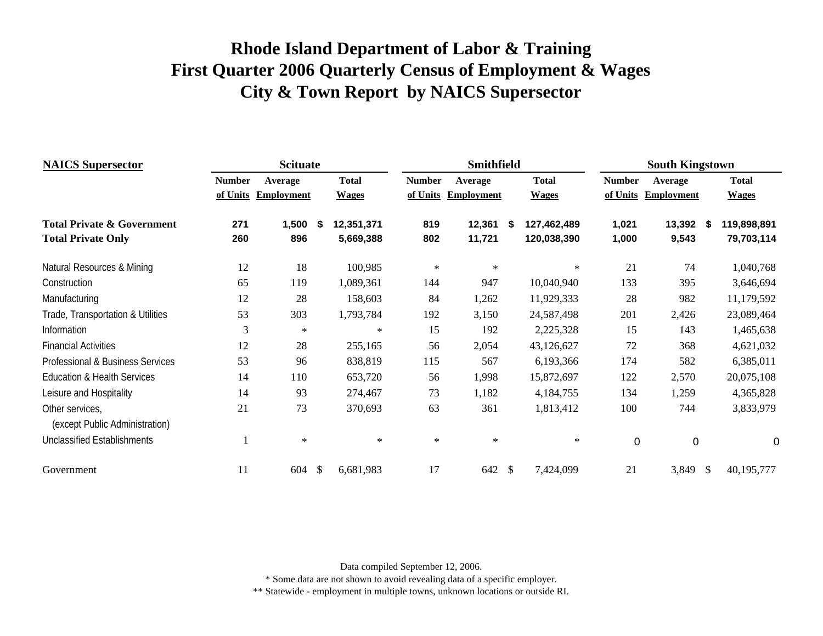| <b>NAICS</b> Supersector               |               | <b>Scituate</b>   |    |              |               | <b>Smithfield</b> |                   |               | <b>South Kingstown</b> |               |              |
|----------------------------------------|---------------|-------------------|----|--------------|---------------|-------------------|-------------------|---------------|------------------------|---------------|--------------|
|                                        | <b>Number</b> | Average           |    | <b>Total</b> | <b>Number</b> | Average           | <b>Total</b>      | <b>Number</b> | Average                |               | <b>Total</b> |
|                                        | of Units      | <b>Employment</b> |    | <b>Wages</b> | of Units      | <b>Employment</b> | <b>Wages</b>      | of Units      | <b>Employment</b>      |               | <b>Wages</b> |
| <b>Total Private &amp; Government</b>  | 271           | 1,500             | S  | 12,351,371   | 819           | 12,361            | \$<br>127,462,489 | 1,021         | 13,392 \$              |               | 119,898,891  |
| <b>Total Private Only</b>              | 260           | 896               |    | 5,669,388    | 802           | 11,721            | 120,038,390       | 1,000         | 9,543                  |               | 79,703,114   |
| Natural Resources & Mining             | 12            | 18                |    | 100,985      | $\ast$        | $\ast$            | $\ast$            | 21            | 74                     |               | 1,040,768    |
| Construction                           | 65            | 119               |    | 1,089,361    | 144           | 947               | 10,040,940        | 133           | 395                    |               | 3,646,694    |
| Manufacturing                          | 12            | 28                |    | 158,603      | 84            | 1,262             | 11,929,333        | 28            | 982                    |               | 11,179,592   |
| Trade, Transportation & Utilities      | 53            | 303               |    | 1,793,784    | 192           | 3,150             | 24,587,498        | 201           | 2,426                  |               | 23,089,464   |
| Information                            | 3             | $\ast$            |    | $\ast$       | 15            | 192               | 2,225,328         | 15            | 143                    |               | 1,465,638    |
| <b>Financial Activities</b>            | 12            | 28                |    | 255,165      | 56            | 2,054             | 43,126,627        | 72            | 368                    |               | 4,621,032    |
| Professional & Business Services       | 53            | 96                |    | 838,819      | 115           | 567               | 6,193,366         | 174           | 582                    |               | 6,385,011    |
| <b>Education &amp; Health Services</b> | 14            | 110               |    | 653,720      | 56            | 1,998             | 15,872,697        | 122           | 2,570                  |               | 20,075,108   |
| Leisure and Hospitality                | 14            | 93                |    | 274,467      | 73            | 1,182             | 4,184,755         | 134           | 1,259                  |               | 4,365,828    |
| Other services,                        | 21            | 73                |    | 370,693      | 63            | 361               | 1,813,412         | 100           | 744                    |               | 3,833,979    |
| (except Public Administration)         |               |                   |    |              |               |                   |                   |               |                        |               |              |
| <b>Unclassified Establishments</b>     |               | $\ast$            |    | $\ast$       | $\ast$        | $\ast$            | $\ast$            | $\mathbf 0$   | 0                      |               | 0            |
| Government                             | 11            | 604               | \$ | 6,681,983    | 17            | 642               | \$<br>7,424,099   | 21            | 3,849                  | $\mathcal{S}$ | 40,195,777   |

Data compiled September 12, 2006.

\* Some data are not shown to avoid revealing data of a specific employer.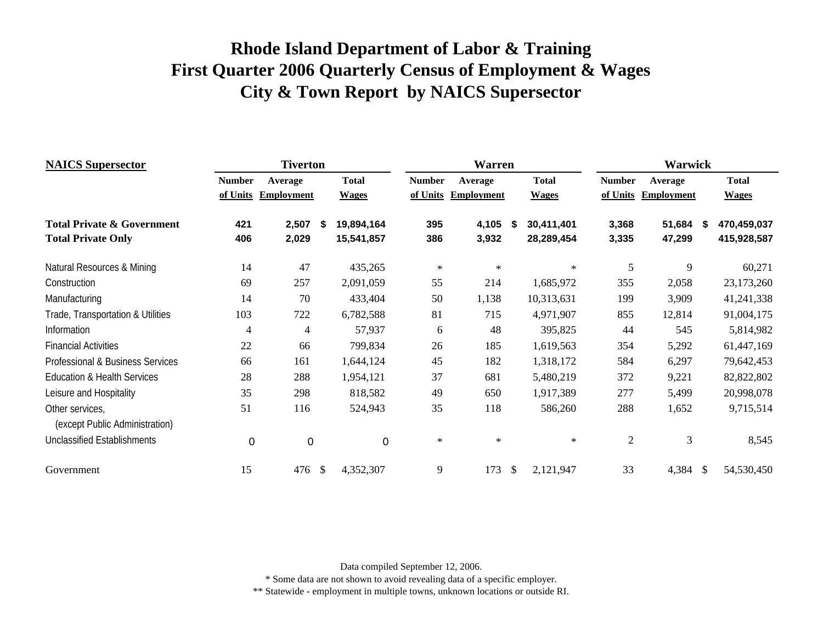| <b>NAICS</b> Supersector                          |               | <b>Tiverton</b>   |              |              |               | Warren            |      |              |                | <b>Warwick</b>    |              |              |
|---------------------------------------------------|---------------|-------------------|--------------|--------------|---------------|-------------------|------|--------------|----------------|-------------------|--------------|--------------|
|                                                   | <b>Number</b> | Average           |              | <b>Total</b> | <b>Number</b> | Average           |      | <b>Total</b> | <b>Number</b>  | Average           |              | <b>Total</b> |
|                                                   | of Units      | <b>Employment</b> |              | <b>Wages</b> | of Units      | <b>Employment</b> |      | <b>Wages</b> | of Units       | <b>Employment</b> |              | <b>Wages</b> |
| <b>Total Private &amp; Government</b>             | 421           | 2,507             | \$           | 19,894,164   | 395           | 4,105             | - 56 | 30,411,401   | 3,368          | 51,684            | S            | 470,459,037  |
| <b>Total Private Only</b>                         | 406           | 2,029             |              | 15,541,857   | 386           | 3,932             |      | 28,289,454   | 3,335          | 47,299            |              | 415,928,587  |
| Natural Resources & Mining                        | 14            | 47                |              | 435,265      | $\ast$        | $\ast$            |      | $\ast$       | 5              | 9                 |              | 60,271       |
| Construction                                      | 69            | 257               |              | 2,091,059    | 55            | 214               |      | 1,685,972    | 355            | 2,058             |              | 23,173,260   |
| Manufacturing                                     | 14            | 70                |              | 433,404      | 50            | 1,138             |      | 10,313,631   | 199            | 3,909             |              | 41,241,338   |
| Trade, Transportation & Utilities                 | 103           | 722               |              | 6,782,588    | 81            | 715               |      | 4,971,907    | 855            | 12,814            |              | 91,004,175   |
| Information                                       | 4             | 4                 |              | 57,937       | 6             | 48                |      | 395,825      | 44             | 545               |              | 5,814,982    |
| <b>Financial Activities</b>                       | 22            | 66                |              | 799,834      | 26            | 185               |      | 1,619,563    | 354            | 5,292             |              | 61,447,169   |
| Professional & Business Services                  | 66            | 161               |              | 1,644,124    | 45            | 182               |      | 1,318,172    | 584            | 6,297             |              | 79,642,453   |
| <b>Education &amp; Health Services</b>            | 28            | 288               |              | 1,954,121    | 37            | 681               |      | 5,480,219    | 372            | 9,221             |              | 82,822,802   |
| Leisure and Hospitality                           | 35            | 298               |              | 818,582      | 49            | 650               |      | 1,917,389    | 277            | 5,499             |              | 20,998,078   |
| Other services,<br>(except Public Administration) | 51            | 116               |              | 524,943      | 35            | 118               |      | 586,260      | 288            | 1,652             |              | 9,715,514    |
| <b>Unclassified Establishments</b>                | $\mathbf 0$   | $\mathbf 0$       |              | $\mathbf 0$  | $\ast$        | $\ast$            |      | $\ast$       | $\overline{2}$ | 3                 |              | 8,545        |
| Government                                        | 15            | 476               | $\mathbb{S}$ | 4,352,307    | 9             | 173               | \$   | 2,121,947    | 33             | 4,384             | $\mathbb{S}$ | 54,530,450   |

Data compiled September 12, 2006.

\* Some data are not shown to avoid revealing data of a specific employer.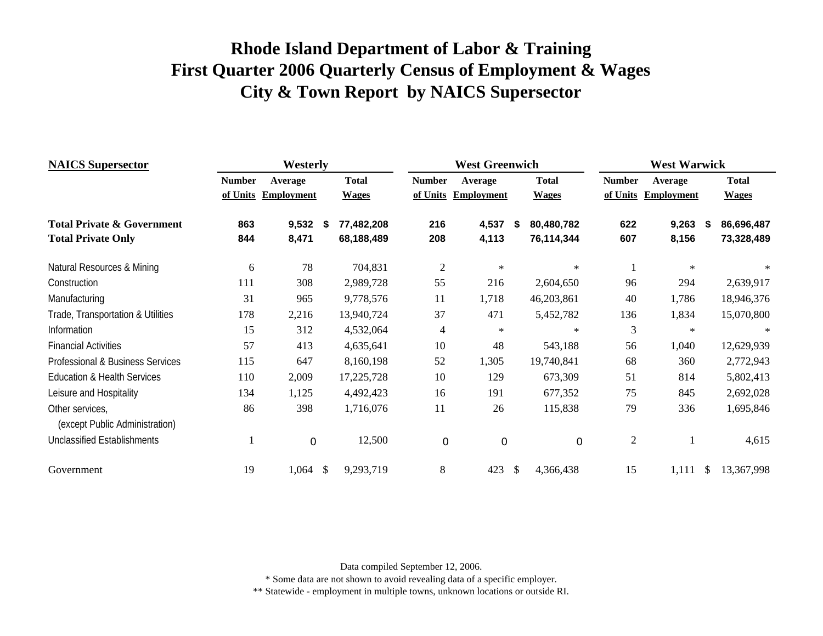| <b>NAICS</b> Supersector                          | Westerly      |                   |            |              |                | <b>West Greenwich</b> |    | <b>West Warwick</b> |                |                   |    |              |  |
|---------------------------------------------------|---------------|-------------------|------------|--------------|----------------|-----------------------|----|---------------------|----------------|-------------------|----|--------------|--|
|                                                   | <b>Number</b> | Average           |            | <b>Total</b> | <b>Number</b>  | Average               |    | <b>Total</b>        | <b>Number</b>  | Average           |    | <b>Total</b> |  |
|                                                   | of Units      | <b>Employment</b> |            | <b>Wages</b> | of Units       | <b>Employment</b>     |    | <b>Wages</b>        | of Units       | <b>Employment</b> |    | <b>Wages</b> |  |
| <b>Total Private &amp; Government</b>             | 863           | 9,532             | - \$       | 77,482,208   | 216            | 4,537                 | S  | 80,480,782          | 622            | 9,263             | S  | 86,696,487   |  |
| <b>Total Private Only</b>                         | 844           | 8,471             |            | 68,188,489   | 208            | 4,113                 |    | 76,114,344          | 607            | 8,156             |    | 73,328,489   |  |
| Natural Resources & Mining                        | 6             | 78                |            | 704,831      | $\overline{2}$ | $\ast$                |    | $\ast$              |                | $\ast$            |    | $\ast$       |  |
| Construction                                      | 111           | 308               |            | 2,989,728    | 55             | 216                   |    | 2,604,650           | 96             | 294               |    | 2,639,917    |  |
| Manufacturing                                     | 31            | 965               |            | 9,778,576    | 11             | 1,718                 |    | 46,203,861          | 40             | 1,786             |    | 18,946,376   |  |
| Trade, Transportation & Utilities                 | 178           | 2,216             |            | 13,940,724   | 37             | 471                   |    | 5,452,782           | 136            | 1,834             |    | 15,070,800   |  |
| Information                                       | 15            | 312               |            | 4,532,064    | 4              | $\ast$                |    | $\ast$              | 3              | $\ast$            |    | $\ast$       |  |
| <b>Financial Activities</b>                       | 57            | 413               |            | 4,635,641    | 10             | 48                    |    | 543,188             | 56             | 1,040             |    | 12,629,939   |  |
| Professional & Business Services                  | 115           | 647               |            | 8,160,198    | 52             | 1,305                 |    | 19,740,841          | 68             | 360               |    | 2,772,943    |  |
| <b>Education &amp; Health Services</b>            | 110           | 2,009             |            | 17,225,728   | 10             | 129                   |    | 673,309             | 51             | 814               |    | 5,802,413    |  |
| Leisure and Hospitality                           | 134           | 1,125             |            | 4,492,423    | 16             | 191                   |    | 677,352             | 75             | 845               |    | 2,692,028    |  |
| Other services,<br>(except Public Administration) | 86            | 398               |            | 1,716,076    | 11             | 26                    |    | 115,838             | 79             | 336               |    | 1,695,846    |  |
| <b>Unclassified Establishments</b>                |               | $\overline{0}$    |            | 12,500       | 0              | $\mathbf 0$           |    | $\Omega$            | $\overline{c}$ |                   |    | 4,615        |  |
| Government                                        | 19            | 1,064             | $\sqrt{3}$ | 9,293,719    | 8              | 423                   | \$ | 4,366,438           | 15             | 1,111             | \$ | 13,367,998   |  |

Data compiled September 12, 2006.

\* Some data are not shown to avoid revealing data of a specific employer.